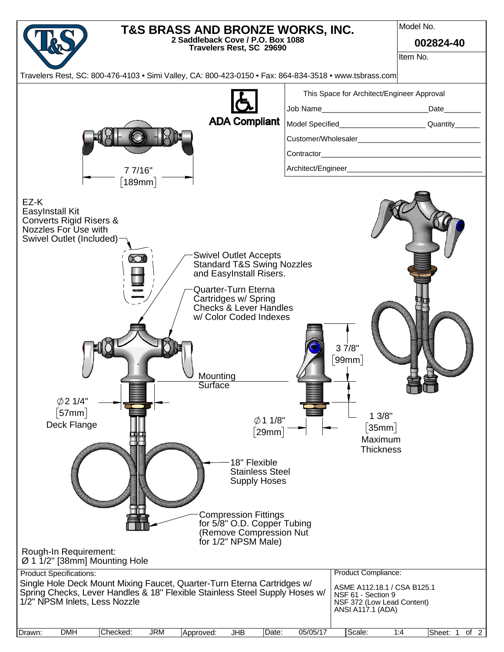